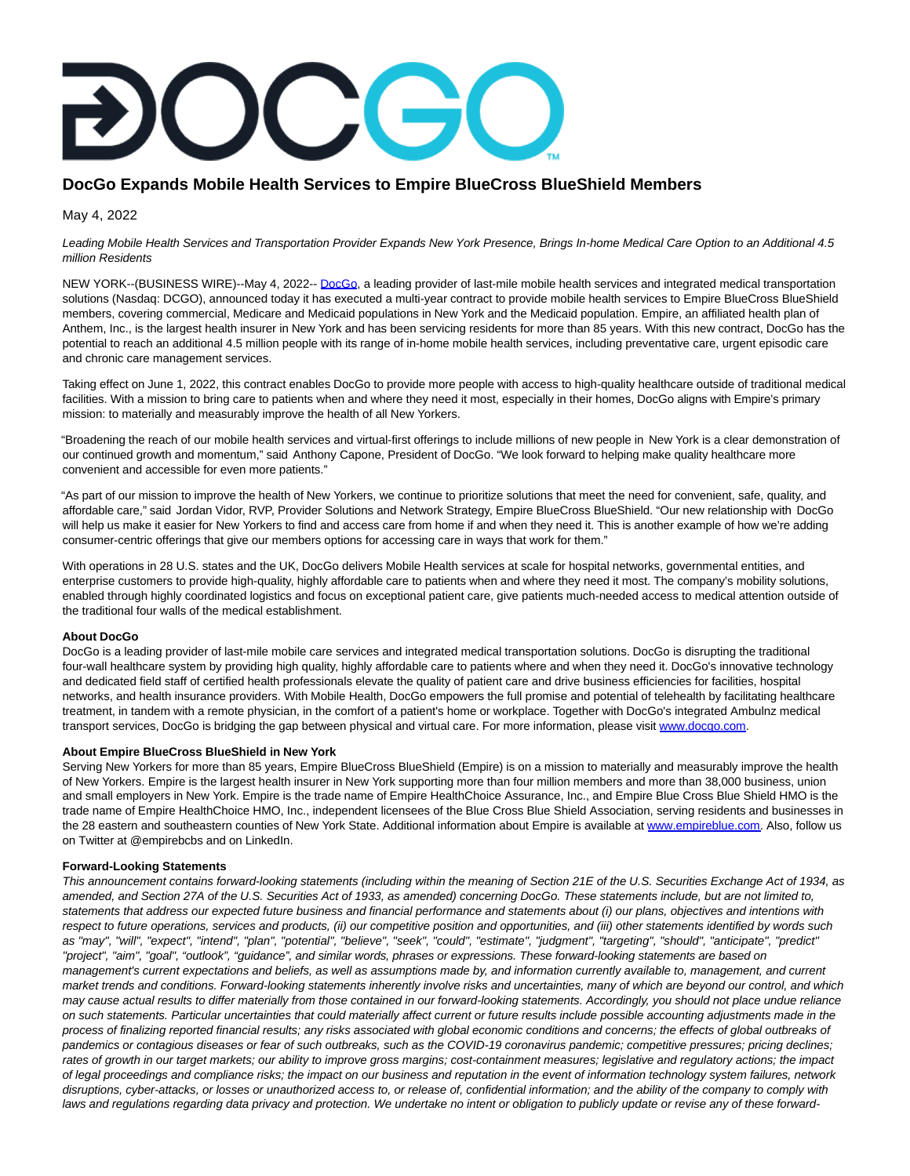# **DocGo Expands Mobile Health Services to Empire BlueCross BlueShield Members**

May 4, 2022

Leading Mobile Health Services and Transportation Provider Expands New York Presence, Brings In-home Medical Care Option to an Additional 4.5 million Residents

NEW YORK--(BUSINESS WIRE)--May 4, 2022-- [DocGo,](https://cts.businesswire.com/ct/CT?id=smartlink&url=https%3A%2F%2Fwww.docgo.com%2F&esheet=52702765&newsitemid=20220504005022&lan=en-US&anchor=DocGo&index=1&md5=25f4082cc5eb9d150b57e748e2ddef15) a leading provider of last-mile mobile health services and integrated medical transportation solutions (Nasdaq: DCGO), announced today it has executed a multi-year contract to provide mobile health services to Empire BlueCross BlueShield members, covering commercial, Medicare and Medicaid populations in New York and the Medicaid population. Empire, an affiliated health plan of Anthem, Inc., is the largest health insurer in New York and has been servicing residents for more than 85 years. With this new contract, DocGo has the potential to reach an additional 4.5 million people with its range of in-home mobile health services, including preventative care, urgent episodic care and chronic care management services.

Taking effect on June 1, 2022, this contract enables DocGo to provide more people with access to high-quality healthcare outside of traditional medical facilities. With a mission to bring care to patients when and where they need it most, especially in their homes, DocGo aligns with Empire's primary mission: to materially and measurably improve the health of all New Yorkers.

"Broadening the reach of our mobile health services and virtual-first offerings to include millions of new people in New York is a clear demonstration of our continued growth and momentum," said Anthony Capone, President of DocGo. "We look forward to helping make quality healthcare more convenient and accessible for even more patients."

"As part of our mission to improve the health of New Yorkers, we continue to prioritize solutions that meet the need for convenient, safe, quality, and affordable care," said Jordan Vidor, RVP, Provider Solutions and Network Strategy, Empire BlueCross BlueShield. "Our new relationship with DocGo will help us make it easier for New Yorkers to find and access care from home if and when they need it. This is another example of how we're adding consumer-centric offerings that give our members options for accessing care in ways that work for them."

With operations in 28 U.S. states and the UK, DocGo delivers Mobile Health services at scale for hospital networks, governmental entities, and enterprise customers to provide high-quality, highly affordable care to patients when and where they need it most. The company's mobility solutions, enabled through highly coordinated logistics and focus on exceptional patient care, give patients much-needed access to medical attention outside of the traditional four walls of the medical establishment.

# **About DocGo**

DocGo is a leading provider of last-mile mobile care services and integrated medical transportation solutions. DocGo is disrupting the traditional four-wall healthcare system by providing high quality, highly affordable care to patients where and when they need it. DocGo's innovative technology and dedicated field staff of certified health professionals elevate the quality of patient care and drive business efficiencies for facilities, hospital networks, and health insurance providers. With Mobile Health, DocGo empowers the full promise and potential of telehealth by facilitating healthcare treatment, in tandem with a remote physician, in the comfort of a patient's home or workplace. Together with DocGo's integrated Ambulnz medical transport services, DocGo is bridging the gap between physical and virtual care. For more information, please visit [www.docgo.com.](https://cts.businesswire.com/ct/CT?id=smartlink&url=http%3A%2F%2Fwww.docgo.com&esheet=52702765&newsitemid=20220504005022&lan=en-US&anchor=www.docgo.com&index=2&md5=032ed6989bf575154e31da4e1b920946)

# **About Empire BlueCross BlueShield in New York**

Serving New Yorkers for more than 85 years, Empire BlueCross BlueShield (Empire) is on a mission to materially and measurably improve the health of New Yorkers. Empire is the largest health insurer in New York supporting more than four million members and more than 38,000 business, union and small employers in New York. Empire is the trade name of Empire HealthChoice Assurance, Inc., and Empire Blue Cross Blue Shield HMO is the trade name of Empire HealthChoice HMO, Inc., independent licensees of the Blue Cross Blue Shield Association, serving residents and businesses in the 28 eastern and southeastern counties of New York State. Additional information about Empire is available at [www.empireblue.com.](https://cts.businesswire.com/ct/CT?id=smartlink&url=http%3A%2F%2Fwww.empireblue.com&esheet=52702765&newsitemid=20220504005022&lan=en-US&anchor=www.empireblue.com&index=3&md5=f7cf9fbd276889b37856a552408aab65) Also, follow us on Twitter at @empirebcbs and on LinkedIn.

# **Forward-Looking Statements**

This announcement contains forward-looking statements (including within the meaning of Section 21E of the U.S. Securities Exchange Act of 1934, as amended, and Section 27A of the U.S. Securities Act of 1933, as amended) concerning DocGo. These statements include, but are not limited to, statements that address our expected future business and financial performance and statements about (i) our plans, objectives and intentions with respect to future operations, services and products, (ii) our competitive position and opportunities, and (iii) other statements identified by words such as "may", "will", "expect", "intend", "plan", "potential", "believe", "seek", "could", "estimate", "judgment", "targeting", "should", "anticipate", "predict" "project", "aim", "goal", "outlook", "guidance", and similar words, phrases or expressions. These forward-looking statements are based on management's current expectations and beliefs, as well as assumptions made by, and information currently available to, management, and current market trends and conditions. Forward-looking statements inherently involve risks and uncertainties, many of which are beyond our control, and which may cause actual results to differ materially from those contained in our forward-looking statements. Accordingly, you should not place undue reliance on such statements. Particular uncertainties that could materially affect current or future results include possible accounting adjustments made in the process of finalizing reported financial results; any risks associated with global economic conditions and concerns; the effects of global outbreaks of pandemics or contagious diseases or fear of such outbreaks, such as the COVID-19 coronavirus pandemic; competitive pressures; pricing declines; rates of growth in our target markets; our ability to improve gross margins; cost-containment measures; legislative and regulatory actions; the impact of legal proceedings and compliance risks; the impact on our business and reputation in the event of information technology system failures, network disruptions, cyber-attacks, or losses or unauthorized access to, or release of, confidential information; and the ability of the company to comply with laws and regulations regarding data privacy and protection. We undertake no intent or obligation to publicly update or revise any of these forward